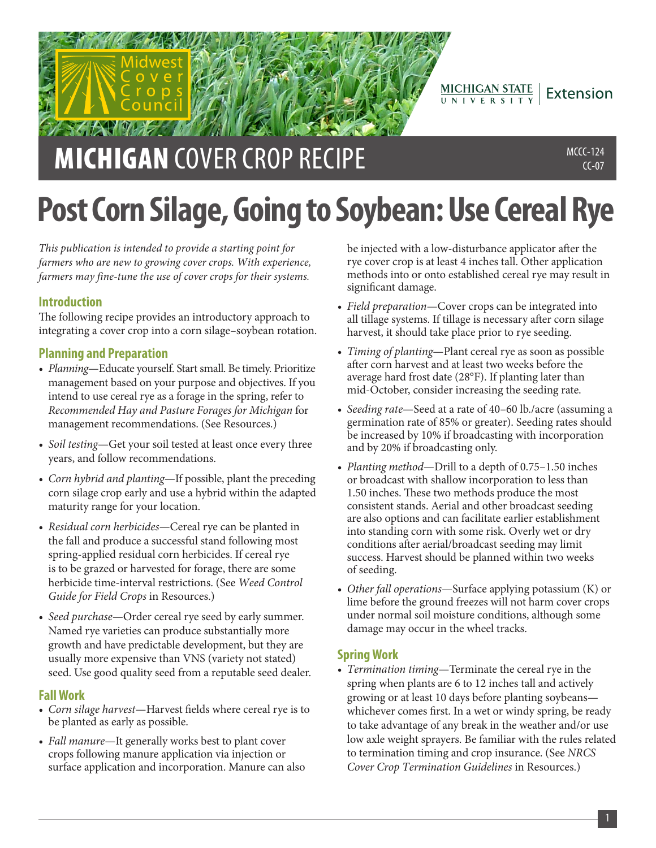

**MICHIGAN** COVER CROP RECIPE MECROPRECIPE  $CC-07$ 

# **Post Corn Silage, Going to Soybean: Use Cereal Rye**

*This publication is intended to provide a starting point for farmers who are new to growing cover crops. With experience, farmers may fine-tune the use of cover crops for their systems.*

# **Introduction**

The following recipe provides an introductory approach to integrating a cover crop into a corn silage–soybean rotation.

# **Planning and Preparation**

- *Planning*—Educate yourself. Start small. Be timely. Prioritize management based on your purpose and objectives. If you intend to use cereal rye as a forage in the spring, refer to *Recommended Hay and Pasture Forages for Michigan* for management recommendations. (See Resources.)
- *Soil testing*—Get your soil tested at least once every three years, and follow recommendations.
- *Corn hybrid and planting*—If possible, plant the preceding corn silage crop early and use a hybrid within the adapted maturity range for your location.
- *Residual corn herbicides*—Cereal rye can be planted in the fall and produce a successful stand following most spring-applied residual corn herbicides. If cereal rye is to be grazed or harvested for forage, there are some herbicide time-interval restrictions. (See *Weed Control Guide for Field Crops* in Resources.)
- *Seed purchase*—Order cereal rye seed by early summer. Named rye varieties can produce substantially more growth and have predictable development, but they are usually more expensive than VNS (variety not stated) seed. Use good quality seed from a reputable seed dealer.

## **Fall Work**

- *Corn silage harvest*—Harvest fields where cereal rye is to be planted as early as possible.
- *Fall manure*—It generally works best to plant cover crops following manure application via injection or surface application and incorporation. Manure can also

be injected with a low-disturbance applicator after the rye cover crop is at least 4 inches tall. Other application methods into or onto established cereal rye may result in significant damage.

- *Field preparation*—Cover crops can be integrated into all tillage systems. If tillage is necessary after corn silage harvest, it should take place prior to rye seeding.
- *Timing of planting*—Plant cereal rye as soon as possible after corn harvest and at least two weeks before the average hard frost date (28°F). If planting later than mid-October, consider increasing the seeding rate.
- *Seeding rate*—Seed at a rate of 40–60 lb./acre (assuming a germination rate of 85% or greater). Seeding rates should be increased by 10% if broadcasting with incorporation and by 20% if broadcasting only.
- *Planting method*—Drill to a depth of 0.75–1.50 inches or broadcast with shallow incorporation to less than 1.50 inches. These two methods produce the most consistent stands. Aerial and other broadcast seeding are also options and can facilitate earlier establishment into standing corn with some risk. Overly wet or dry conditions after aerial/broadcast seeding may limit success. Harvest should be planned within two weeks of seeding.
- *Other fall operations*—Surface applying potassium (K) or lime before the ground freezes will not harm cover crops under normal soil moisture conditions, although some damage may occur in the wheel tracks.

## **Spring Work**

• *Termination timing*—Terminate the cereal rye in the spring when plants are 6 to 12 inches tall and actively growing or at least 10 days before planting soybeans whichever comes first. In a wet or windy spring, be ready to take advantage of any break in the weather and/or use low axle weight sprayers. Be familiar with the rules related to termination timing and crop insurance. (See *NRCS Cover Crop Termination Guidelines* in Resources.)